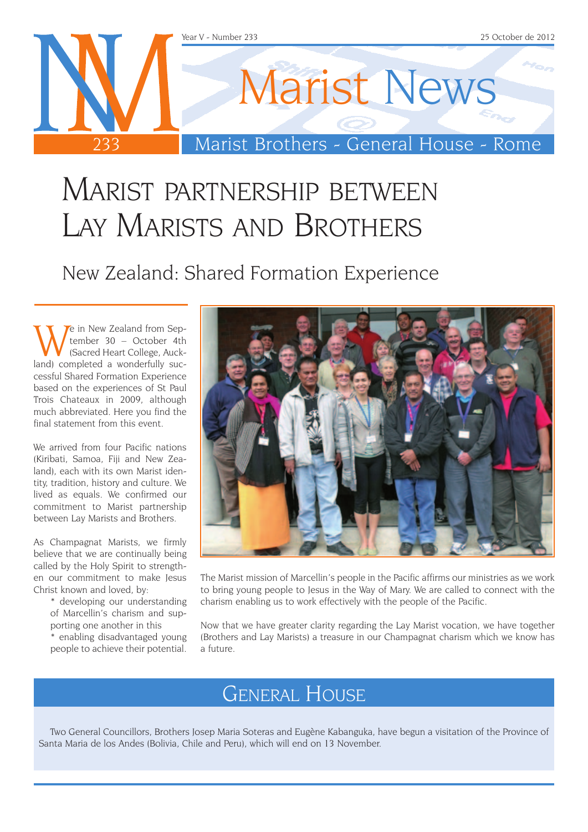

### Marist partnership between Lay Marists and Brothers

New Zealand: Shared Formation Experience

We in New Zealand from Sep-<br>
(Sacred Heart College, Auck-<br>
Sacred Heart College, Aucktember 30 – October 4th (Sacred Heart College, Auckland) completed a wonderfully successful Shared Formation Experience based on the experiences of St Paul Trois Chateaux in 2009, although much abbreviated. Here you find the final statement from this event.

We arrived from four Pacific nations (Kiribati, Samoa, Fiji and New Zealand), each with its own Marist identity, tradition, history and culture. We lived as equals. We confirmed our commitment to Marist partnership between Lay Marists and Brothers.

As Champagnat Marists, we firmly believe that we are continually being called by the Holy Spirit to strengthen our commitment to make Jesus Christ known and loved, by:

> \* developing our understanding of Marcellin's charism and supporting one another in this

> \* enabling disadvantaged young people to achieve their potential.



The Marist mission of Marcellin's people in the Pacific affirms our ministries as we work to bring young people to Jesus in the Way of Mary. We are called to connect with the charism enabling us to work effectively with the people of the Pacific.

Now that we have greater clarity regarding the Lay Marist vocation, we have together (Brothers and Lay Marists) a treasure in our Champagnat charism which we know has a future.

### General House

Two General Councillors, Brothers Josep Maria Soteras and Eugène Kabanguka, have begun a visitation of the Province of Santa Maria de los Andes (Bolivia, Chile and Peru), which will end on 13 November.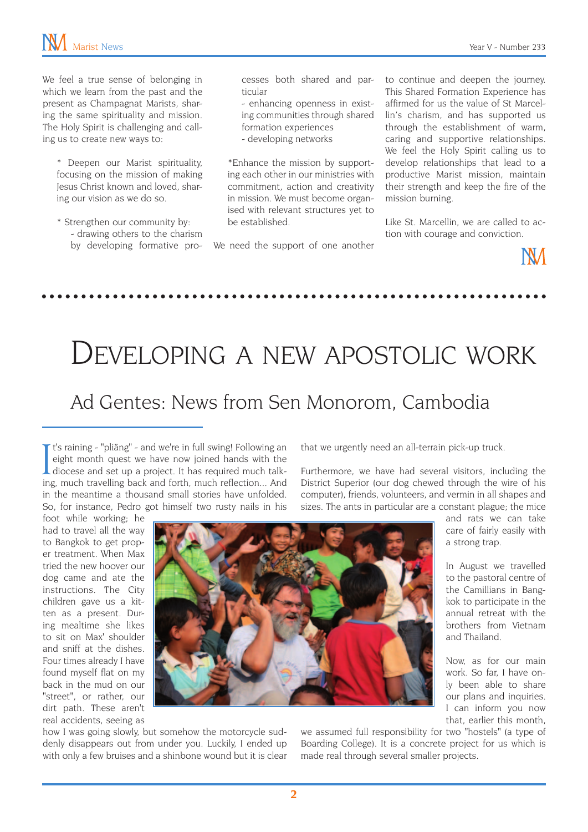We feel a true sense of belonging in which we learn from the past and the present as Champagnat Marists, sharing the same spirituality and mission. The Holy Spirit is challenging and calling us to create new ways to:

\* Deepen our Marist spirituality, focusing on the mission of making Jesus Christ known and loved, sharing our vision as we do so.

\* Strengthen our community by: - drawing others to the charism by developing formative processes both shared and particular

- enhancing openness in existing communities through shared formation experiences - developing networks

\*Enhance the mission by supporting each other in our ministries with commitment, action and creativity in mission. We must become organised with relevant structures yet to be established.

We need the support of one another

to continue and deepen the journey. This Shared Formation Experience has affirmed for us the value of St Marcellin's charism, and has supported us through the establishment of warm, caring and supportive relationships. We feel the Holy Spirit calling us to develop relationships that lead to a productive Marist mission, maintain their strength and keep the fire of the mission burning.

Like St. Marcellin, we are called to action with courage and conviction.



## Developing a new apostolic work Ad Gentes: News from Sen Monorom, Cambodia

It's raining - "pliäng" - and we're in full swing! Following an eight month quest we have now joined hands with the diocese and set up a project. It has required much talk-<br>ing much travelling back and forth, much reflecti If t's raining - "pliäng" - and we're in full swing! Following an eight month quest we have now joined hands with the ing, much travelling back and forth, much reflection... And in the meantime a thousand small stories have unfolded. So, for instance, Pedro got himself two rusty nails in his

that we urgently need an all-terrain pick-up truck.

Furthermore, we have had several visitors, including the District Superior (our dog chewed through the wire of his computer), friends, volunteers, and vermin in all shapes and sizes. The ants in particular are a constant plague; the mice

> and rats we can take care of fairly easily with

> In August we travelled to the pastoral centre of the Camillians in Bangkok to participate in the annual retreat with the brothers from Vietnam

> Now, as for our main work. So far, I have only been able to share our plans and inquiries. I can inform you now that, earlier this month,

a strong trap.

and Thailand.

foot while working; he had to travel all the way to Bangkok to get proper treatment. When Max tried the new hoover our dog came and ate the instructions. The City children gave us a kitten as a present. During mealtime she likes to sit on Max' shoulder and sniff at the dishes. Four times already I have found myself flat on my back in the mud on our "street", or rather, our dirt path. These aren't real accidents, seeing as



how I was going slowly, but somehow the motorcycle suddenly disappears out from under you. Luckily, I ended up with only a few bruises and a shinbone wound but it is clear we assumed full responsibility for two "hostels" (a type of Boarding College). It is a concrete project for us which is made real through several smaller projects.

**2**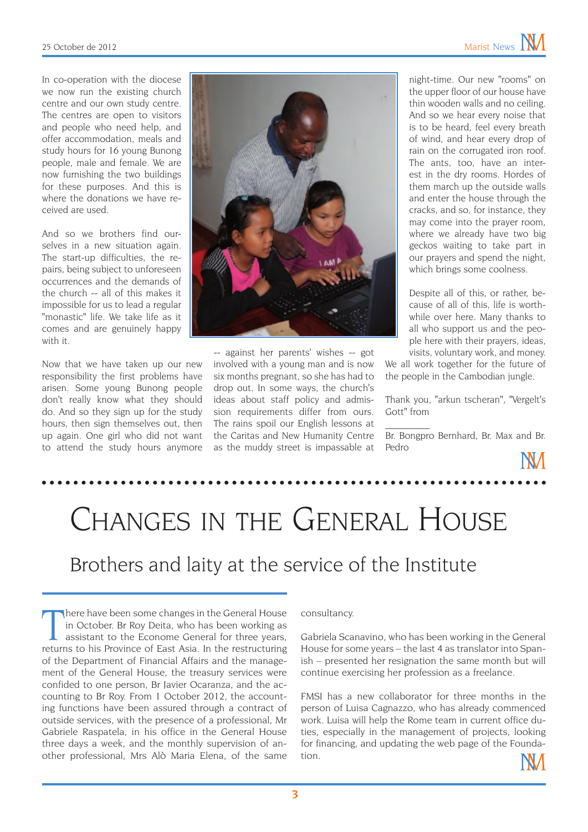In co-operation with the diocese we now run the existing church centre and our own study centre. The centres are open to visitors and people who need help, and offer accommodation, meals and study hours for 16 young Bunong people, male and female. We are now furnishing the two buildings for these purposes. And this is where the donations we have received are used.

And so we brothers find ourselves in a new situation again. The start-up difficulties, the repairs, being subject to unforeseen occurrences and the demands of the church -- all of this makes it impossible for us to lead a regular "monastic" life. We take life as it comes and are genuinely happy with it.

Now that we have taken up our new responsibility the first problems have arisen. Some young Bunong people don't really know what they should do. And so they sign up for the study hours, then sign themselves out, then up again. One girl who did not want to attend the study hours anymore



-- against her parents' wishes -- got involved with a young man and is now six months pregnant, so she has had to drop out. In some ways, the church's ideas about staff policy and admission requirements differ from ours. The rains spoil our English lessons at the Caritas and New Humanity Centre as the muddy street is impassable at

night-time. Our new "rooms" on the upper floor of our house have thin wooden walls and no ceiling. And so we hear every noise that is to be heard, feel every breath of wind, and hear every drop of rain on the corrugated iron roof. The ants, too, have an interest in the dry rooms. Hordes of them march up the outside walls and enter the house through the cracks, and so, for instance, they may come into the prayer room, where we already have two big geckos waiting to take part in our prayers and spend the night, which brings some coolness.

Despite all of this, or rather, because of all of this, life is worthwhile over here. Many thanks to all who support us and the people here with their prayers, ideas, visits, voluntary work, and money.

We all work together for the future of the people in the Cambodian jungle.

Thank you, "arkun tscheran", "Vergelt's Gott" from

Br. Bongpro Bernhard, Br. Max and Br. Pedro

 $\overline{\phantom{a}}$ 

# Changes in the General House

### Brothers and laity at the service of the Institute

There have been some changes in the General House<br>in October. Br Roy Deita, who has been working as<br>assistant to the Econome General for three years,<br>returns to his Province of East Asia. In the restructuring here have been some changes in the General House in October. Br Roy Deita, who has been working as assistant to the Econome General for three years, of the Department of Financial Affairs and the management of the General House, the treasury services were confided to one person, Br Javier Ocaranza, and the accounting to Br Roy. From 1 October 2012, the accounting functions have been assured through a contract of outside services, with the presence of a professional, Mr Gabriele Raspatela, in his office in the General House three days a week, and the monthly supervision of another professional, Mrs Alò Maria Elena, of the same

consultancy.

Gabriela Scanavino, who has been working in the General House for some years – the last 4 as translator into Spanish – presented her resignation the same month but will continue exercising her profession as a freelance.

FMSI has a new collaborator for three months in the person of Luisa Cagnazzo, who has already commenced work. Luisa will help the Rome team in current office duties, especially in the management of projects, looking for financing, and updating the web page of the Foundation.